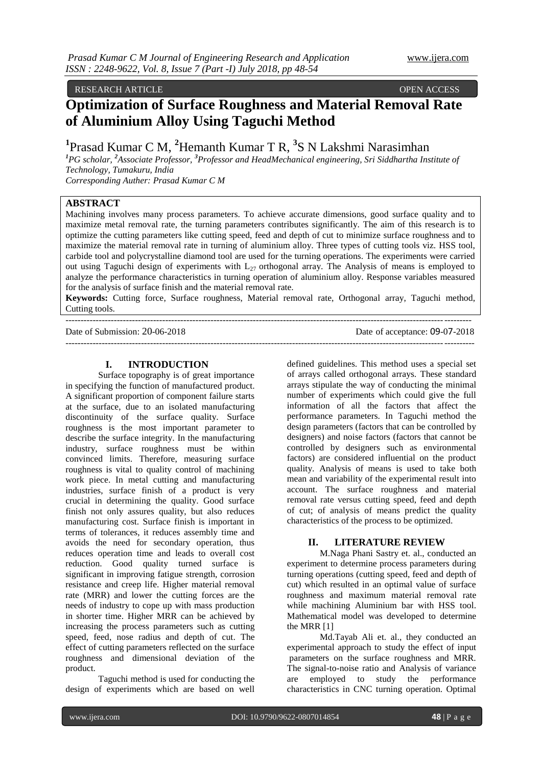RESEARCH ARTICLE OPEN ACCESS

# **Optimization of Surface Roughness and Material Removal Rate of Aluminium Alloy Using Taguchi Method**

<sup>1</sup> Prasad Kumar C M, <sup>2</sup> Hemanth Kumar T R, <sup>3</sup> S N Lakshmi Narasimhan

*<sup>1</sup>PG scholar, <sup>2</sup>Associate Professor, <sup>3</sup>Professor and HeadMechanical engineering, Sri Siddhartha Institute of Technology, Tumakuru, India*

*Corresponding Auther: Prasad Kumar C M*

# **ABSTRACT**

Machining involves many process parameters. To achieve accurate dimensions, good surface quality and to maximize metal removal rate, the turning parameters contributes significantly. The aim of this research is to optimize the cutting parameters like cutting speed, feed and depth of cut to minimize surface roughness and to maximize the material removal rate in turning of aluminium alloy. Three types of cutting tools viz. HSS tool, carbide tool and polycrystalline diamond tool are used for the turning operations. The experiments were carried out using Taguchi design of experiments with  $L_{27}$  orthogonal array. The Analysis of means is employed to analyze the performance characteristics in turning operation of aluminium alloy. Response variables measured for the analysis of surface finish and the material removal rate.

**Keywords:** Cutting force, Surface roughness, Material removal rate, Orthogonal array, Taguchi method, Cutting tools.

--------------------------------------------------------------------------------------------------------------------------------------

Date of Submission: 20-06-2018 Date of acceptance: 09-07-2018 ---------------------------------------------------------------------------------------------------------------------------------------

# **I. INTRODUCTION**

Surface topography is of great importance in specifying the function of manufactured product. A significant proportion of component failure starts at the surface, due to an isolated manufacturing discontinuity of the surface quality. Surface roughness is the most important parameter to describe the surface integrity. In the manufacturing industry, surface roughness must be within convinced limits. Therefore, measuring surface roughness is vital to quality control of machining work piece. In metal cutting and manufacturing industries, surface finish of a product is very crucial in determining the quality. Good surface finish not only assures quality, but also reduces manufacturing cost. Surface finish is important in terms of tolerances, it reduces assembly time and avoids the need for secondary operation, thus reduces operation time and leads to overall cost reduction. Good quality turned surface is significant in improving fatigue strength, corrosion resistance and creep life. Higher material removal rate (MRR) and lower the cutting forces are the needs of industry to cope up with mass production in shorter time. Higher MRR can be achieved by increasing the process parameters such as cutting speed, feed, nose radius and depth of cut. The effect of cutting parameters reflected on the surface roughness and dimensional deviation of the product.

Taguchi method is used for conducting the design of experiments which are based on well

defined guidelines. This method uses a special set of arrays called orthogonal arrays. These standard arrays stipulate the way of conducting the minimal number of experiments which could give the full information of all the factors that affect the performance parameters. In Taguchi method the design parameters (factors that can be controlled by designers) and noise factors (factors that cannot be controlled by designers such as environmental factors) are considered influential on the product quality. Analysis of means is used to take both mean and variability of the experimental result into account. The surface roughness and material removal rate versus cutting speed, feed and depth of cut; of analysis of means predict the quality characteristics of the process to be optimized.

# **II. LITERATURE REVIEW**

M.Naga Phani Sastry et. al., conducted an experiment to determine process parameters during turning operations (cutting speed, feed and depth of cut) which resulted in an optimal value of surface roughness and maximum material removal rate while machining Aluminium bar with HSS tool. Mathematical model was developed to determine the MRR [1]

Md.Tayab Ali et. al., they conducted an experimental approach to study the effect of input parameters on the surface roughness and MRR. The signal-to-noise ratio and Analysis of variance are employed to study the performance characteristics in CNC turning operation. Optimal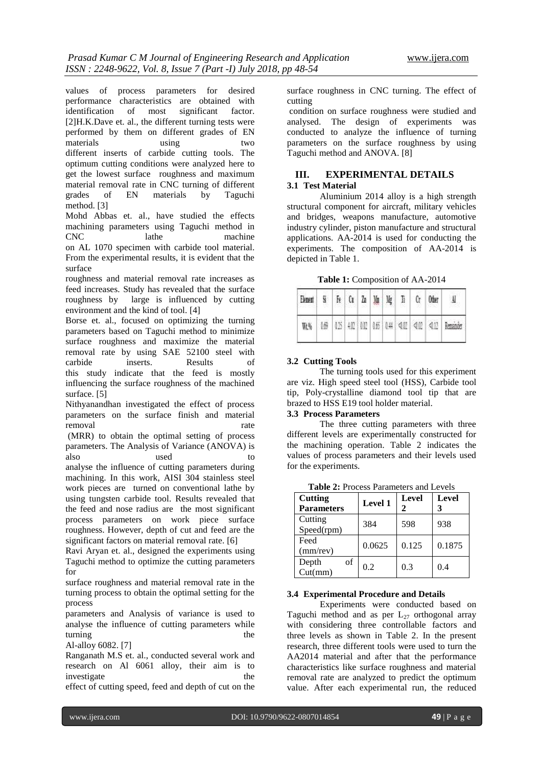values of process parameters for desired performance characteristics are obtained with identification of most significant factor. [2]H.K.Dave et. al., the different turning tests were performed by them on different grades of EN materials using two different inserts of carbide cutting tools. The optimum cutting conditions were analyzed here to get the lowest surface roughness and maximum material removal rate in CNC turning of different grades of EN materials by Taguchi method. [3]

Mohd Abbas et. al., have studied the effects machining parameters using Taguchi method in CNC lathe machine on AL 1070 specimen with carbide tool material. From the experimental results, it is evident that the surface

roughness and material removal rate increases as feed increases. Study has revealed that the surface roughness by large is influenced by cutting environment and the kind of tool. [4]

Borse et. al., focused on optimizing the turning parameters based on Taguchi method to minimize surface roughness and maximize the material removal rate by using SAE 52100 steel with carbide inserts. Results of this study indicate that the feed is mostly influencing the surface roughness of the machined surface. [5]

Nithyanandhan investigated the effect of process parameters on the surface finish and material removal rate

(MRR) to obtain the optimal setting of process parameters. The Analysis of Variance (ANOVA) is also used to

analyse the influence of cutting parameters during machining. In this work, AISI 304 stainless steel work pieces are turned on conventional lathe by using tungsten carbide tool. Results revealed that the feed and nose radius are the most significant process parameters on work piece surface roughness. However, depth of cut and feed are the significant factors on material removal rate. [6]

Ravi Aryan et. al., designed the experiments using Taguchi method to optimize the cutting parameters for

surface roughness and material removal rate in the turning process to obtain the optimal setting for the process

parameters and Analysis of variance is used to analyse the influence of cutting parameters while turning the the state of  $\mathbf{r}$ 

Al-alloy 6082. [7]

Ranganath M.S et. al., conducted several work and research on Al 6061 alloy, their aim is to investigate the

effect of cutting speed, feed and depth of cut on the

surface roughness in CNC turning. The effect of cutting

condition on surface roughness were studied and analysed. The design of experiments was conducted to analyze the influence of turning parameters on the surface roughness by using Taguchi method and ANOVA. [8]

# **III. EXPERIMENTAL DETAILS 3.1 Test Material**

Aluminium 2014 alloy is a high strength structural component for aircraft, military vehicles and bridges, weapons manufacture, automotive industry cylinder, piston manufacture and structural applications. AA-2014 is used for conducting the experiments. The composition of AA-2014 is depicted in Table 1.

**Table 1:** Composition of AA-2014

| Element |  |  |  | Si   Fe   Cu   Zu   Mu   Mg   Ti   Cr   Other |                                                                    |
|---------|--|--|--|-----------------------------------------------|--------------------------------------------------------------------|
|         |  |  |  |                                               | WEN   069   025   402   032   046   044   <0.02   <0.02   Reminder |

### **3.2 Cutting Tools**

The turning tools used for this experiment are viz. High speed steel tool (HSS), Carbide tool tip, Poly-crystalline diamond tool tip that are brazed to HSS E19 tool holder material.

# **3.3 Process Parameters**

The three cutting parameters with three different levels are experimentally constructed for the machining operation. Table 2 indicates the values of process parameters and their levels used for the experiments.

**Table 2:** Process Parameters and Levels **Level Level**

| Cutting<br><b>Parameters</b> | Level 1 | Level<br>2 | <b>Level</b> |
|------------------------------|---------|------------|--------------|
| Cutting<br>Speed(rpm)        | 384     | 598        | 938          |
| Feed<br>$(mm$ /rev)          | 0.0625  | 0.125      | 0.1875       |
| of<br>Depth<br>Cut(mm)       | 0.2     | 0.3        | 0.4          |

#### **3.4 Experimental Procedure and Details**

Experiments were conducted based on Taguchi method and as per  $L_{27}$  orthogonal array with considering three controllable factors and three levels as shown in Table 2. In the present research, three different tools were used to turn the AA2014 material and after that the performance characteristics like surface roughness and material removal rate are analyzed to predict the optimum value. After each experimental run, the reduced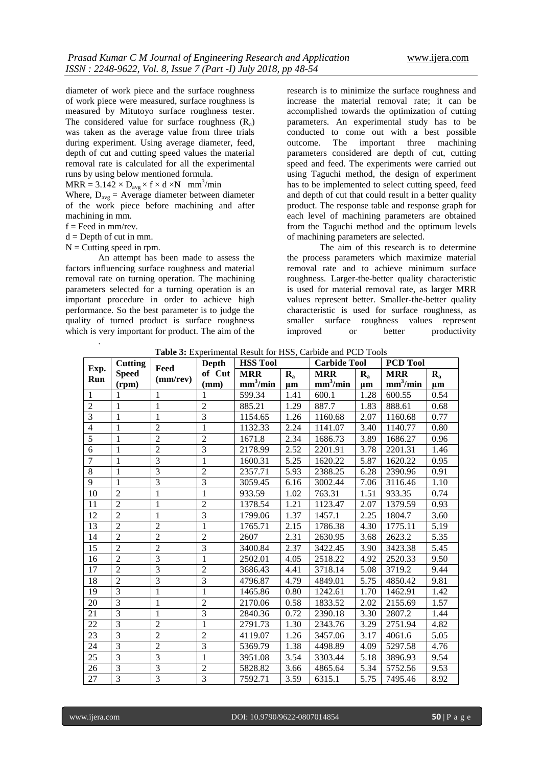diameter of work piece and the surface roughness of work piece were measured, surface roughness is measured by Mitutoyo surface roughness tester. The considered value for surface roughness  $(R_a)$ was taken as the average value from three trials during experiment. Using average diameter, feed, depth of cut and cutting speed values the material removal rate is calculated for all the experimental runs by using below mentioned formula.

 $MRR = 3.142 \times D_{avg} \times f \times d \times N$  mm<sup>3</sup>/min

Where,  $D_{avg}$  = Average diameter between diameter of the work piece before machining and after machining in mm.

 $f =$  Feed in mm/rev.

.

 $d =$  Depth of cut in mm.

 $N =$  Cutting speed in rpm.

An attempt has been made to assess the factors influencing surface roughness and material removal rate on turning operation. The machining parameters selected for a turning operation is an important procedure in order to achieve high performance. So the best parameter is to judge the quality of turned product is surface roughness which is very important for product. The aim of the

research is to minimize the surface roughness and increase the material removal rate; it can be accomplished towards the optimization of cutting parameters. An experimental study has to be conducted to come out with a best possible outcome. The important three machining parameters considered are depth of cut, cutting speed and feed. The experiments were carried out using Taguchi method, the design of experiment has to be implemented to select cutting speed, feed and depth of cut that could result in a better quality product. The response table and response graph for each level of machining parameters are obtained from the Taguchi method and the optimum levels of machining parameters are selected.

The aim of this research is to determine the process parameters which maximize material removal rate and to achieve minimum surface roughness. Larger-the-better quality characteristic is used for material removal rate, as larger MRR values represent better. Smaller-the-better quality characteristic is used for surface roughness, as smaller surface roughness values represent improved or better productivity

**Table 3:** Experimental Result for HSS, Carbide and PCD Tools

|                 | Cutting        |                        | Depth          | <b>HSS Tool</b>      |         | <b>Carbide Tool</b>  |                           | <b>PCD Tool</b>      |                           |
|-----------------|----------------|------------------------|----------------|----------------------|---------|----------------------|---------------------------|----------------------|---------------------------|
| Exp.<br>Run     | <b>Speed</b>   | Feed<br>$(mm$ /rev $)$ | of Cut         | <b>MRR</b>           | $R_{a}$ | <b>MRR</b>           | $\mathbf{R}_{\mathbf{a}}$ | <b>MRR</b>           | $\mathbf{R}_{\mathbf{a}}$ |
|                 | (rpm)          |                        | (mm)           | mm <sup>3</sup> /min | $\mu$ m | mm <sup>3</sup> /min | $\mu$ m                   | mm <sup>3</sup> /min | $\mu$ m                   |
| $\mathbf{1}$    | 1              | 1                      | 1              | 599.34               | 1.41    | 600.1                | 1.28                      | 600.55               | 0.54                      |
| $\overline{2}$  | 1              | 1                      | $\overline{2}$ | 885.21               | 1.29    | 887.7                | 1.83                      | 888.61               | 0.68                      |
| 3               | 1              | 1                      | $\overline{3}$ | 1154.65              | 1.26    | 1160.68              | 2.07                      | 1160.68              | 0.77                      |
| $\overline{4}$  | 1              | $\overline{2}$         | 1              | 1132.33              | 2.24    | 1141.07              | 3.40                      | 1140.77              | 0.80                      |
| $\overline{5}$  | 1              | $\overline{2}$         | $\overline{2}$ | 1671.8               | 2.34    | 1686.73              | 3.89                      | 1686.27              | 0.96                      |
| 6               | 1              | $\overline{2}$         | 3              | 2178.99              | 2.52    | 2201.91              | 3.78                      | 2201.31              | 1.46                      |
| $\overline{7}$  | 1              | $\overline{3}$         | $\mathbf{1}$   | 1600.31              | 5.25    | 1620.22              | 5.87                      | 1620.22              | 0.95                      |
| $\,8\,$         | 1              | 3                      | $\overline{2}$ | 2357.71              | 5.93    | 2388.25              | 6.28                      | 2390.96              | 0.91                      |
| 9               | $\mathbf{1}$   | $\overline{3}$         | $\overline{3}$ | 3059.45              | 6.16    | 3002.44              | 7.06                      | 3116.46              | 1.10                      |
| 10              | $\overline{2}$ | 1                      | 1              | 933.59               | 1.02    | 763.31               | 1.51                      | 933.35               | 0.74                      |
| 11              | $\overline{2}$ | 1                      | $\overline{2}$ | 1378.54              | 1.21    | 1123.47              | 2.07                      | 1379.59              | 0.93                      |
| 12              | $\overline{2}$ | 1                      | $\overline{3}$ | 1799.06              | 1.37    | 1457.1               | 2.25                      | 1804.7               | 3.60                      |
| 13              | $\overline{2}$ | $\overline{2}$         | $\mathbf{1}$   | 1765.71              | 2.15    | 1786.38              | 4.30                      | 1775.11              | 5.19                      |
| 14              | $\overline{2}$ | $\overline{2}$         | $\overline{2}$ | 2607                 | 2.31    | 2630.95              | 3.68                      | 2623.2               | 5.35                      |
| 15              | $\overline{2}$ | $\overline{2}$         | $\overline{3}$ | 3400.84              | 2.37    | 3422.45              | 3.90                      | 3423.38              | 5.45                      |
| 16              | $\overline{2}$ | 3                      | $\mathbf{1}$   | 2502.01              | 4.05    | 2518.22              | 4.92                      | 2520.33              | 9.50                      |
| 17              | $\overline{2}$ | $\overline{3}$         | $\overline{2}$ | 3686.43              | 4.41    | 3718.14              | 5.08                      | 3719.2               | 9.44                      |
| 18              | $\overline{2}$ | 3                      | $\overline{3}$ | 4796.87              | 4.79    | 4849.01              | 5.75                      | 4850.42              | 9.81                      |
| 19              | 3              | 1                      | $\mathbf{1}$   | 1465.86              | 0.80    | 1242.61              | 1.70                      | 1462.91              | 1.42                      |
| 20              | $\overline{3}$ | $\mathbf{1}$           | $\overline{2}$ | 2170.06              | 0.58    | 1833.52              | 2.02                      | 2155.69              | 1.57                      |
| 21              | $\overline{3}$ | 1                      | $\overline{3}$ | 2840.36              | 0.72    | 2390.18              | 3.30                      | 2807.2               | 1.44                      |
| 22              | $\overline{3}$ | $\overline{2}$         | $\mathbf{1}$   | 2791.73              | 1.30    | 2343.76              | 3.29                      | 2751.94              | 4.82                      |
| 23              | $\overline{3}$ | $\overline{2}$         | $\overline{2}$ | 4119.07              | 1.26    | 3457.06              | 3.17                      | 4061.6               | 5.05                      |
| 24              | $\overline{3}$ | $\overline{2}$         | $\overline{3}$ | 5369.79              | 1.38    | 4498.89              | 4.09                      | 5297.58              | 4.76                      |
| 25              | $\overline{3}$ | $\overline{3}$         | $\mathbf{1}$   | 3951.08              | 3.54    | 3303.44              | 5.18                      | 3896.93              | 9.54                      |
| 26              | $\overline{3}$ | $\overline{3}$         | $\overline{2}$ | 5828.82              | 3.66    | 4865.64              | 5.34                      | 5752.56              | 9.53                      |
| $\overline{27}$ | $\overline{3}$ | $\overline{3}$         | $\overline{3}$ | 7592.71              | 3.59    | 6315.1               | 5.75                      | 7495.46              | 8.92                      |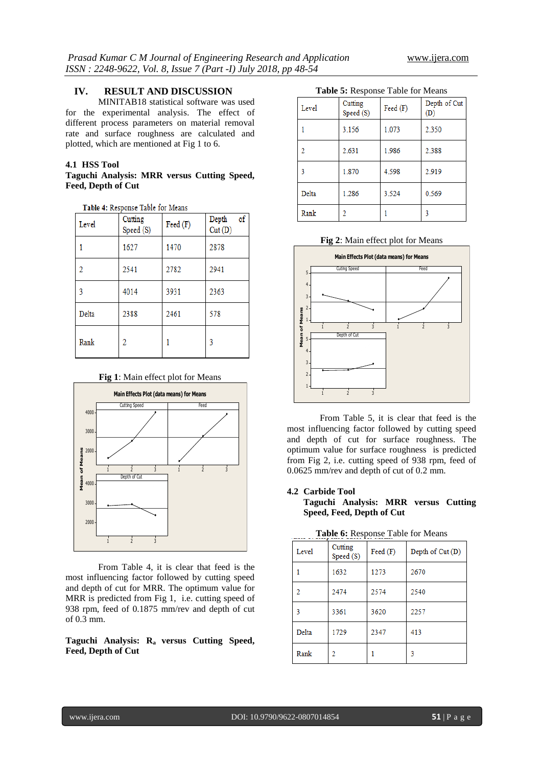# **IV. RESULT AND DISCUSSION**

MINITAB18 statistical software was used for the experimental analysis. The effect of different process parameters on material removal rate and surface roughness are calculated and plotted, which are mentioned at Fig 1 to 6.

# **4.1 HSS Tool**

# **Taguchi Analysis: MRR versus Cutting Speed, Feed, Depth of Cut**

| Level | Cutting<br>Speed (S) | Feed (F) | of<br>Depth<br>Cut(D) |
|-------|----------------------|----------|-----------------------|
|       | 1627                 | 1470     | 2878                  |
| 2     | 2541                 | 2782     | 2941                  |
| 3     | 4014                 | 3931     | 2363                  |
| Delta | 2388                 | 2461     | 578                   |
| Rank  | 2                    |          | 3                     |

#### **Fig 1**: Main effect plot for Means



From Table 4, it is clear that feed is the most influencing factor followed by cutting speed and depth of cut for MRR. The optimum value for MRR is predicted from Fig 1, i.e. cutting speed of 938 rpm, feed of 0.1875 mm/rev and depth of cut of 0.3 mm.

**Taguchi Analysis: Ra versus Cutting Speed, Feed, Depth of Cut**

|  | Table 5: Response Table for Means |  |  |  |
|--|-----------------------------------|--|--|--|
|--|-----------------------------------|--|--|--|

| Level | Cutting<br>Speed (S) | Feed (F) | Depth of Cut<br>(D) |  |  |
|-------|----------------------|----------|---------------------|--|--|
|       | 3.156                | 1.073    | 2.350               |  |  |
| 2     | 2.631                | 1.986    | 2.388               |  |  |
| 3     | 1.870                | 4.598    | 2.919               |  |  |
| Delta | 1.286                | 3.524    | 0.569               |  |  |
| Rank  | 2                    |          | 3                   |  |  |

**Fig 2**: Main effect plot for Means



From Table 5, it is clear that feed is the most influencing factor followed by cutting speed and depth of cut for surface roughness. The optimum value for surface roughness is predicted from Fig 2, i.e. cutting speed of 938 rpm, feed of 0.0625 mm/rev and depth of cut of 0.2 mm.

# **4.2 Carbide Tool**

**Taguchi Analysis: MRR versus Cutting Speed, Feed, Depth of Cut** 

| Level | Cutting<br>Speed (S) | Feed (F) | Depth of Cut (D) |  |  |
|-------|----------------------|----------|------------------|--|--|
|       | 1632                 | 1273     | 2670             |  |  |
| 2     | 2474                 | 2574     | 2540             |  |  |
| 3     | 3361                 | 3620     | 2257             |  |  |
| Delta | 1729                 | 2347     | 413              |  |  |
| Rank  | 2                    |          | 3                |  |  |

| <b>Table 6: Response Table for Means</b> |  |
|------------------------------------------|--|
|------------------------------------------|--|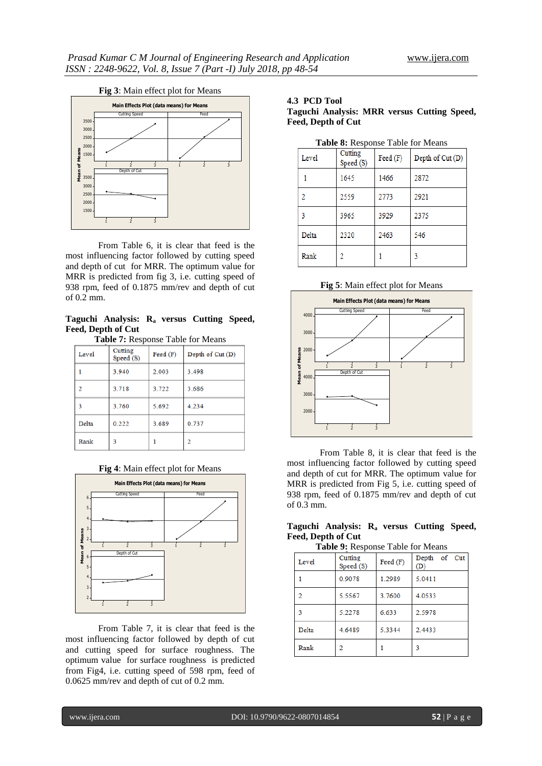

From Table 6, it is clear that feed is the most influencing factor followed by cutting speed and depth of cut for MRR. The optimum value for MRR is predicted from fig 3, i.e. cutting speed of 938 rpm, feed of 0.1875 mm/rev and depth of cut of 0.2 mm.

**Taguchi Analysis: Ra versus Cutting Speed, Feed, Depth of Cut Table 7:** Response Table for Means

| <b>Table <i>i</i></b> Response Fable for Means |                      |                           |                  |  |  |
|------------------------------------------------|----------------------|---------------------------|------------------|--|--|
| Level                                          | Cutting<br>Speed (S) | $\text{Feed}(\mathbf{F})$ | Depth of Cut (D) |  |  |
|                                                | 3.940                | 2.003                     | 3.498            |  |  |
| $\overline{2}$                                 | 3.718                | 3.722                     | 3.686            |  |  |
| 3                                              | 3.760                | 5.692                     | 4.234            |  |  |
| Delta                                          | 0.222                | 3.689                     | 0.737            |  |  |
| Rank                                           | 3                    |                           | 2                |  |  |

**Fig 4**: Main effect plot for Means



From Table 7, it is clear that feed is the most influencing factor followed by depth of cut and cutting speed for surface roughness. The optimum value for surface roughness is predicted from Fig4, i.e. cutting speed of 598 rpm, feed of 0.0625 mm/rev and depth of cut of 0.2 mm.

#### **4.3 PCD Tool Taguchi Analysis: MRR versus Cutting Speed, Feed, Depth of Cut**

|  | Table 8: Response Table for Means |  |  |
|--|-----------------------------------|--|--|
|--|-----------------------------------|--|--|

| Level | Cutting<br>Speed (S) | Feed (F) | Depth of Cut (D) |
|-------|----------------------|----------|------------------|
|       | 1645                 | 1466     | 2872             |
| 2     | 2559                 | 2773     | 2921             |
| 3     | 3965                 | 3929     | 2375             |
| Delta | 2320                 | 2463     | 546              |
| Rank  | 2                    |          | 3                |

#### **Fig 5**: Main effect plot for Means



From Table 8, it is clear that feed is the most influencing factor followed by cutting speed and depth of cut for MRR. The optimum value for MRR is predicted from Fig 5, i.e. cutting speed of 938 rpm, feed of 0.1875 mm/rev and depth of cut of 0.3 mm.

# **Taguchi Analysis: Ra versus Cutting Speed, Feed, Depth of Cut**

**Table 9:** Response Table for Means

| Level | Cutting<br>Speed (S) | Feed (F) | Depth of Cut<br>(D) |
|-------|----------------------|----------|---------------------|
|       | 0.9078               | 1.2989   | 5.0411              |
| 2     | 5.5567               | 3.7600   | 4.0533              |
| 3     | 5.2278               | 6.633    | 2.5978              |
| Delta | 4.6489               | 5.3344   | 2.4433              |
| Rank  | 2                    |          | 3                   |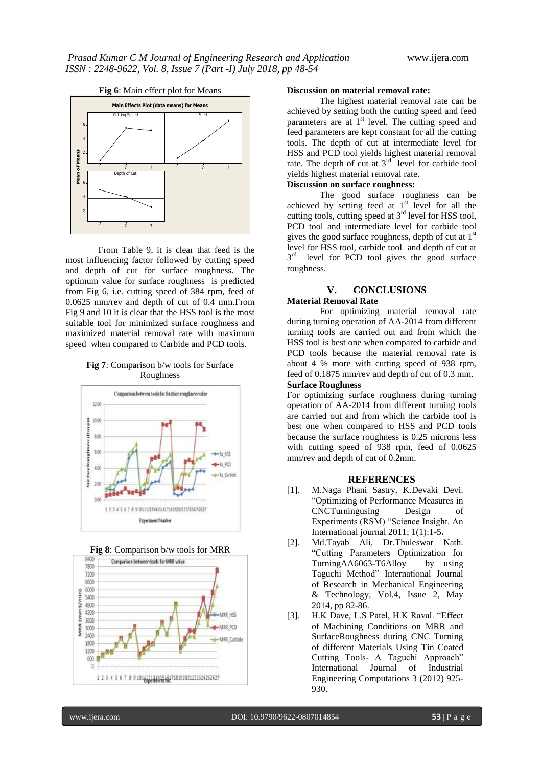

From Table 9, it is clear that feed is the most influencing factor followed by cutting speed and depth of cut for surface roughness. The optimum value for surface roughness is predicted from Fig 6, i.e. cutting speed of 384 rpm, feed of 0.0625 mm/rev and depth of cut of 0.4 mm.From Fig 9 and 10 it is clear that the HSS tool is the most suitable tool for minimized surface roughness and maximized material removal rate with maximum speed when compared to Carbide and PCD tools.

# **Fig 7**: Comparison b/w tools for Surface Roughness







#### **Discussion on material removal rate:**

The highest material removal rate can be achieved by setting both the cutting speed and feed parameters are at  $1<sup>st</sup>$  level. The cutting speed and feed parameters are kept constant for all the cutting tools. The depth of cut at intermediate level for HSS and PCD tool yields highest material removal rate. The depth of cut at  $3<sup>rd</sup>$  level for carbide tool yields highest material removal rate.

# **Discussion on surface roughness:**

The good surface roughness can be achieved by setting feed at  $1<sup>st</sup>$  level for all the cutting tools, cutting speed at  $3<sup>rd</sup>$  level for HSS tool, PCD tool and intermediate level for carbide tool gives the good surface roughness, depth of cut at  $1<sup>st</sup>$ level for HSS tool, carbide tool and depth of cut at  $3<sup>rd</sup>$  level for PCD tool gives the good surface roughness.

# **V. CONCLUSIONS Material Removal Rate**

For optimizing material removal rate during turning operation of AA-2014 from different turning tools are carried out and from which the HSS tool is best one when compared to carbide and PCD tools because the material removal rate is about 4 % more with cutting speed of 938 rpm, feed of 0.1875 mm/rev and depth of cut of 0.3 mm. **Surface Roughness**

For optimizing surface roughness during turning operation of AA-2014 from different turning tools are carried out and from which the carbide tool is best one when compared to HSS and PCD tools because the surface roughness is 0.25 microns less with cutting speed of 938 rpm, feed of 0.0625 mm/rev and depth of cut of 0.2mm.

#### **REFERENCES**

- [1]. M.Naga Phani Sastry, K.Devaki Devi. "Optimizing of Performance Measures in CNCTurningusing Design of Experiments (RSM) "Science Insight. An International journal 2011; 1(1):1-5**.**
- [2]. Md.Tayab Ali, Dr.Thuleswar Nath. "Cutting Parameters Optimization for TurningAA6063-T6Alloy by using Taguchi Method" International Journal of Research in Mechanical Engineering & Technology, Vol.4, Issue 2, May 2014, pp 82-86.
- [3]. H.K Dave, L.S Patel, H.K Raval. "Effect of Machining Conditions on MRR and SurfaceRoughness during CNC Turning of different Materials Using Tin Coated Cutting Tools- A Taguchi Approach" International Journal of Industrial Engineering Computations 3 (2012) 925- 930.